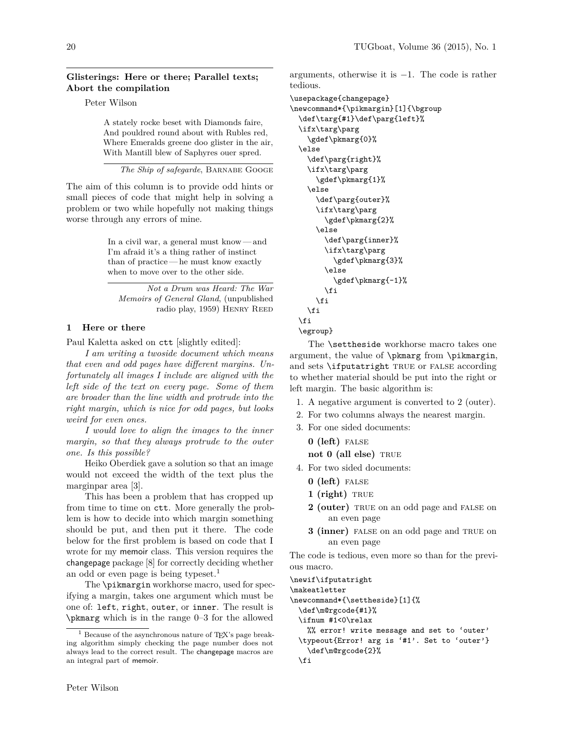### **Glisterings: Here or there; Parallel texts; Abort the compilation**

Peter Wilson

A stately rocke beset with Diamonds faire, And pouldred round about with Rubles red, Where Emeralds greene doo glister in the air, With Mantill blew of Saphyres ouer spred.

*The Ship of safegarde*, Barnabe Googe

The aim of this column is to provide odd hints or small pieces of code that might help in solving a problem or two while hopefully not making things worse through any errors of mine.

> In a civil war, a general must know— and I'm afraid it's a thing rather of instinct than of practice— he must know exactly when to move over to the other side.

*Not a Drum was Heard: The War Memoirs of General Gland*, (unpublished radio play, 1959) Henry Reed

# **1 Here or there**

Paul Kaletta asked on ctt [slightly edited]:

*I am writing a twoside document which means that even and odd pages have different margins. Unfortunately all images I include are aligned with the left side of the text on every page. Some of them are broader than the line width and protrude into the right margin, which is nice for odd pages, but looks weird for even ones.*

*I would love to align the images to the inner margin, so that they always protrude to the outer one. Is this possible?*

Heiko Oberdiek gave a solution so that an image would not exceed the width of the text plus the marginpar area [3].

This has been a problem that has cropped up from time to time on ctt. More generally the problem is how to decide into which margin something should be put, and then put it there. The code below for the first problem is based on code that I wrote for my memoir class. This version requires the changepage package [8] for correctly deciding whether an odd or even page is being typeset.<sup>1</sup>

The \pikmargin workhorse macro, used for specifying a margin, takes one argument which must be one of: left, right, outer, or inner. The result is \pkmarg which is in the range 0–3 for the allowed arguments, otherwise it is −1. The code is rather tedious.

```
\usepackage{changepage}
\newcommand*{\pikmargin}[1]{\bgroup
  \def\targ{#1}\def\parg{left}%
  \ifx\targ\parg
    \gdef\pkmarg{0}%
  \else
    \def\parg{right}%
    \ifx\targ\parg
      \gdef\pkmarg{1}%
    \else
      \def\parg{outer}%
      \ifx\targ\parg
        \gdef\pkmarg{2}%
      \else
        \def\parg{inner}%
        \ifx\targ\parg
          \gdef\pkmarg{3}%
        \else
          \gdef\pkmarg{-1}%
        \fi
      \fi
    \fi
  \fi
  \egroup}
```
The \settheside workhorse macro takes one argument, the value of \pkmarg from \pikmargin, and sets **\ifputatright** TRUE or FALSE according to whether material should be put into the right or left margin. The basic algorithm is:

- 1. A negative argument is converted to 2 (outer).
- 2. For two columns always the nearest margin.
- 3. For one sided documents:

**0 (left)** false

**not 0 (all else)** TRUE

- 4. For two sided documents:
	- **0 (left)** false
	- **1 (right)** TRUE
	- 2 (outer) TRUE on an odd page and FALSE on an even page
	- **3 (inner)** FALSE on an odd page and TRUE on an even page

The code is tedious, even more so than for the previous macro.

```
\newif\ifputatright
```

```
\makeatletter
\newcommand*{\settheside}[1]{%
```

```
\def\m@rgcode{#1}%
```
\ifnum #1<0\relax

%% error! write message and set to 'outer' \typeout{Error! arg is '#1'. Set to 'outer'}

\def\m@rgcode{2}% \fi

 $^1$  Because of the asynchronous nature of TEX's page breaking algorithm simply checking the page number does not always lead to the correct result. The changepage macros are an integral part of memoir.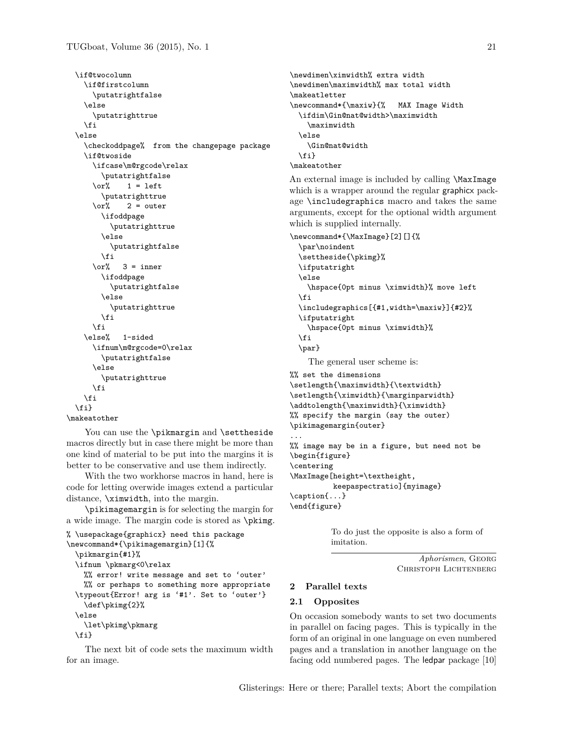```
\if@twocolumn
  \if@firstcolumn
    \putatrightfalse
  \else
    \putatrighttrue
  \fi
\else
  \checkoddpage% from the changepage package
  \if@twoside
    \ifcase\m@rgcode\relax
      \putatrightfalse
    \or\% 1 = left
      \putatrighttrue
    \or% 2 = outer
      \ifoddpage
        \putatrighttrue
      \else
        \putatrightfalse
      \frac{1}{1}\or% 3 = inner
      \ifoddpage
        \putatrightfalse
      \else
        \putatrighttrue
      \fi
    \frac{1}{2}\else% 1-sided
    \ifnum\m@rgcode=0\relax
      \putatrightfalse
    \else
      \putatrighttrue
    \eta\fi
\{f_i\}
```

```
\makeatother
```
You can use the \pikmargin and \settheside macros directly but in case there might be more than one kind of material to be put into the margins it is better to be conservative and use them indirectly.

With the two workhorse macros in hand, here is code for letting overwide images extend a particular distance, \ximwidth, into the margin.

\pikimagemargin is for selecting the margin for a wide image. The margin code is stored as \pkimg.

```
% \usepackage{graphicx} need this package
\newcommand*{\pikimagemargin}[1]{%
  \pikmargin{#1}%
  \ifnum \pkmarg<0\relax
    %% error! write message and set to 'outer'
    %% or perhaps to something more appropriate
  \typeout{Error! arg is '#1'. Set to 'outer'}
    \def\pkimg{2}%
  \else
    \let\pkimg\pkmarg
  \fi}
```
The next bit of code sets the maximum width for an image.

```
\newdimen\ximwidth% extra width
\newdimen\maximwidth% max total width
\makeatletter
\newcommand*{\maxiw}{% MAX Image Width
  \ifdim\Gin@nat@width>\maximwidth
    \maximwidth
 \else
   \Gin@nat@width
 \fi}
\makeatother
```
An external image is included by calling \MaxImage which is a wrapper around the regular graphicx package \includegraphics macro and takes the same arguments, except for the optional width argument which is supplied internally.

```
\newcommand*{\MaxImage}[2][]{%
 \par\noindent
  \settheside{\pkimg}%
 \ifputatright
  \else
    \hspace{0pt minus \ximwidth}% move left
  \fi
 \includegraphics[{#1,width=\maxiw}]{#2}%
 \ifputatright
   \hspace{0pt minus \ximwidth}%
 \eta\par}
    The general user scheme is:
%% set the dimensions
\setlength{\maximwidth}{\textwidth}
\setlength{\ximwidth}{\marginparwidth}
\addtolength{\maximwidth}{\ximwidth}
%% specify the margin (say the outer)
\pikimagemargin{outer}
```
... %% image may be in a figure, but need not be \begin{figure} \centering \MaxImage[height=\textheight, keepaspectratio]{myimage} \caption{...} \end{figure}

> To do just the opposite is also a form of imitation.

> > *Aphorismen*, Georg Christoph Lichtenberg

# **2 Parallel texts**

### **2.1 Opposites**

On occasion somebody wants to set two documents in parallel on facing pages. This is typically in the form of an original in one language on even numbered pages and a translation in another language on the facing odd numbered pages. The ledpar package [10]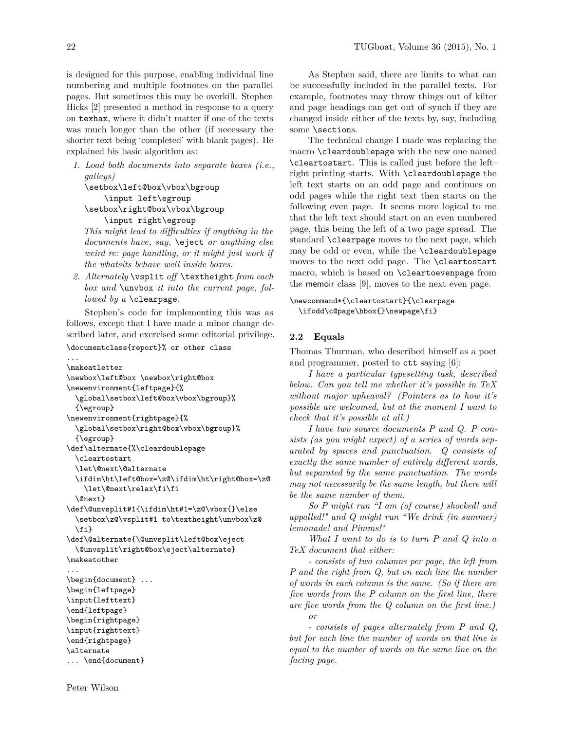is designed for this purpose, enabling individual line numbering and multiple footnotes on the parallel pages. But sometimes this may be overkill. Stephen Hicks [2] presented a method in response to a query on texhax, where it didn't matter if one of the texts was much longer than the other (if necessary the shorter text being 'completed' with blank pages). He explained his basic algorithm as:

*1. Load both documents into separate boxes (i.e., galleys)*

```
\setbox\left@box\vbox\bgroup
   \input left\egroup
\setbox\right@box\vbox\bgroup
```

```
\input right\egroup
```
*This might lead to difficulties if anything in the documents have, say,* \eject *or anything else weird re: page handling, or it might just work if the whatsits behave well inside boxes.*

*2. Alternately* \vsplit *off* \textheight *from each box and* \unvbox *it into the current page, followed by a* \clearpage*.*

Stephen's code for implementing this was as follows, except that I have made a minor change described later, and exercised some editorial privilege.

#### \documentclass{report}% or other class

```
...
\makeatletter
\newbox\left@box \newbox\right@box
\newenvironment{leftpage}{%
  \global\setbox\left@box\vbox\bgroup}%
  {\egroup}
\newenvironment{rightpage}{%
  \global\setbox\right@box\vbox\bgroup}%
  {\egroup}
\def\alternate{%\cleardoublepage
  \cleartostart
  \let\@next\@alternate
  \ifdim\ht\left@box=\z@\ifdim\ht\right@box=\z@
    \let\@next\relax\fi\fi
  \@next}
\def\@unvsplit#1{\ifdim\ht#1=\z@\vbox{}\else
  \setbox\z@\vsplit#1 to\textheight\unvbox\z@
  \fi}
\def\@alternate{\@unvsplit\left@box\eject
  \@unvsplit\right@box\eject\alternate}
\makeatother
...
\begin{document} ...
\begin{leftpage}
\input{lefttext}
\end{leftpage}
\begin{rightpage}
\input{righttext}
\end{rightpage}
\alternate
... \end{document}
```
As Stephen said, there are limits to what can be successfully included in the parallel texts. For example, footnotes may throw things out of kilter and page headings can get out of synch if they are changed inside either of the texts by, say, including some \sections.

The technical change I made was replacing the macro \cleardoublepage with the new one named \cleartostart. This is called just before the left– right printing starts. With \cleardoublepage the left text starts on an odd page and continues on odd pages while the right text then starts on the following even page. It seems more logical to me that the left text should start on an even numbered page, this being the left of a two page spread. The standard \clearpage moves to the next page, which may be odd or even, while the \cleardoublepage moves to the next odd page. The \cleartostart macro, which is based on \cleartoevenpage from the memoir class [9], moves to the next even page.

```
\newcommand*{\cleartostart}{\clearpage
 \ifodd\c@page\hbox{}\newpage\fi}
```
### **2.2 Equals**

Thomas Thurman, who described himself as a poet and programmer, posted to ctt saying [6]:

*I have a particular typesetting task, described below. Can you tell me whether it's possible in TeX without major upheaval? (Pointers as to how it's possible are welcomed, but at the moment I want to check that it's possible at all.)*

*I have two source documents P and Q. P consists (as you might expect) of a series of words separated by spaces and punctuation. Q consists of exactly the same number of entirely different words, but separated by the same punctuation. The words may not necessarily be the same length, but there will be the same number of them.*

*So P might run "I am (of course) shocked! and appalled!" and Q might run "We drink (in summer) lemonade! and Pimms!"*

*What I want to do is to turn P and Q into a TeX document that either:*

*- consists of two columns per page, the left from P and the right from Q, but on each line the number of words in each column is the same. (So if there are five words from the P column on the first line, there are five words from the Q column on the first line.) or*

*- consists of pages alternately from P and Q, but for each line the number of words on that line is equal to the number of words on the same line on the facing page.*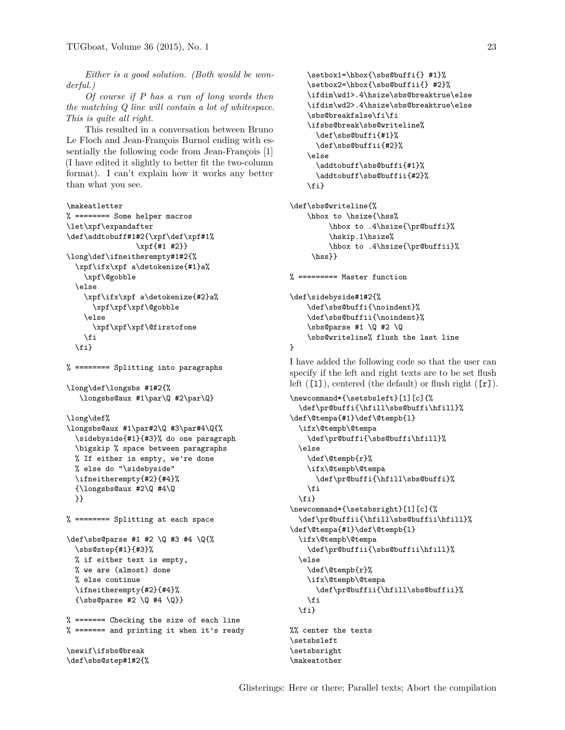*Either is a good solution. (Both would be wonderful.)*

*Of course if P has a run of long words then the matching Q line will contain a lot of whitespace. This is quite all right.*

This resulted in a conversation between Bruno Le Floch and Jean-François Burnol ending with essentially the following code from Jean-François [1] (I have edited it slightly to better fit the two-column format). I can't explain how it works any better than what you see.

```
\makeatletter
% ======== Some helper macros
\let\xpf\expandafter
\def\addtobuff#1#2{\xpf\def\xpf#1%
                \xpf{#1 #2}}
\long\def\ifneitherempty#1#2{%
  \xpf\ifx\xpf a\detokenize{#1}a%
    \xpf\@gobble
  \else
    \xpf\ifx\xpf a\detokenize{#2}a%
      \xpf\xpf\xpf\@gobble
    \else
      \xpf\xpf\xpf\@firstofone
    \eta\{f_i\}
```
% ======== Splitting into paragraphs

```
\long\def\longsbs #1#2{%
   \longsbs@aux #1\par\Q #2\par\Q}
```
\long\def%

```
\longsbs@aux #1\par#2\Q #3\par#4\Q{%
  \sidebyside{#1}{#3}% do one paragraph
 \bigskip % space between paragraphs
 % If either is empty, we're done
 % else do "\sidebyside"
 \ifneitherempty{#2}{#4}%
 {\lambda #4\Q
 }}
```
% ======== Splitting at each space

```
\def\sbs@parse #1 #2 \Q #3 #4 \Q{%
    \sbs@step{#1}{#3}%
    % if either text is empty,
    % we are (almost) done
    % else continue
    \ifneitherempty{#2}{#4}%
    {\simeq} \{ \simeq \{ \qquad \qquad \qquad \{ \qquad \qquad \qquad \qquad \qquad \qquad \qquad \qquad \qquad \qquad \qquad \qquad \qquad \qquad \qquad \qquad \qquad \qquad \qquad \qquad \qquad \qquad \qquad \qquad \qquad \qquad \qquad \qquad \qquad \qquad \qquad \qquad \
```
% ======= Checking the size of each line % ======= and printing it when it's ready

```
\newif\ifsbs@break
\def\sbs@step#1#2{%
```

```
\setbox1=\hbox{\sbs@buffi{} #1}%
   \setbox2=\hbox{\sbs@buffii{} #2}%
   \ifdim\wd1>.4\hsize\sbs@breaktrue\else
   \ifdim\wd2>.4\hsize\sbs@breaktrue\else
   \sbs@breakfalse\fi\fi
    \ifsbs@break\sbs@writeline%
      \def\sbs@buffi{#1}%
      \def\sbs@buffii{#2}%
   \else
      \addtobuff\sbs@buffi{#1}%
      \addtobuff\sbs@buffii{#2}%
   \fi}
\def\sbs@writeline{%
```

```
\hbox to \hsize{\hss%
     \hbox to .4\hsize{\pr@buffi}%
     \hskip.1\hsize%
     \hbox to .4\hsize{\pr@buffii}%
\hss}}
```
% ========= Master function

```
\def\sidebyside#1#2{%
           \def\sbs@buffi{\noindent}%
           \def\sbs@buffii{\noindent}%
           \simeq \qquad \qquad \qquad \qquad \qquad \qquad \qquad \qquad \qquad \qquad \qquad \qquad \qquad \qquad \qquad \qquad \qquad \qquad \qquad \qquad \qquad \qquad \qquad \qquad \qquad \qquad \qquad \qquad \qquad \qquad \qquad \qquad \qquad \qquad \qquad \qquad\sbs@writeline% flush the last line
}
```
I have added the following code so that the user can specify if the left and right texts are to be set flush left  $([1])$ , centered (the default) or flush right  $([r])$ .

```
\newcommand*{\setsbsleft}[1][c]{%
  \def\pr@buffi{\hfill\sbs@buffi\hfill}%
\def\@tempa{#1}\def\@tempb{l}
 \ifx\@tempb\@tempa
    \def\pr@buffi{\sbs@buffi\hfill}%
 \else
    \def\@tempb{r}%
    \ifx\@tempb\@tempa
      \def\pr@buffi{\hfill\sbs@buffi}%
    \fi
 \fi}
\newcommand*{\setsbsright}[1][c]{%
  \def\pr@buffii{\hfill\sbs@buffii\hfill}%
\def\@tempa{#1}\def\@tempb{l}
 \ifx\@tempb\@tempa
    \def\pr@buffii{\sbs@buffii\hfill}%
  \else
    \def\@tempb{r}%
    \ifx\@tempb\@tempa
      \def\pr@buffii{\hfill\sbs@buffii}%
    \fi
 \fi}
%% center the texts
\setsbsleft
\setsbsright
```
\makeatother